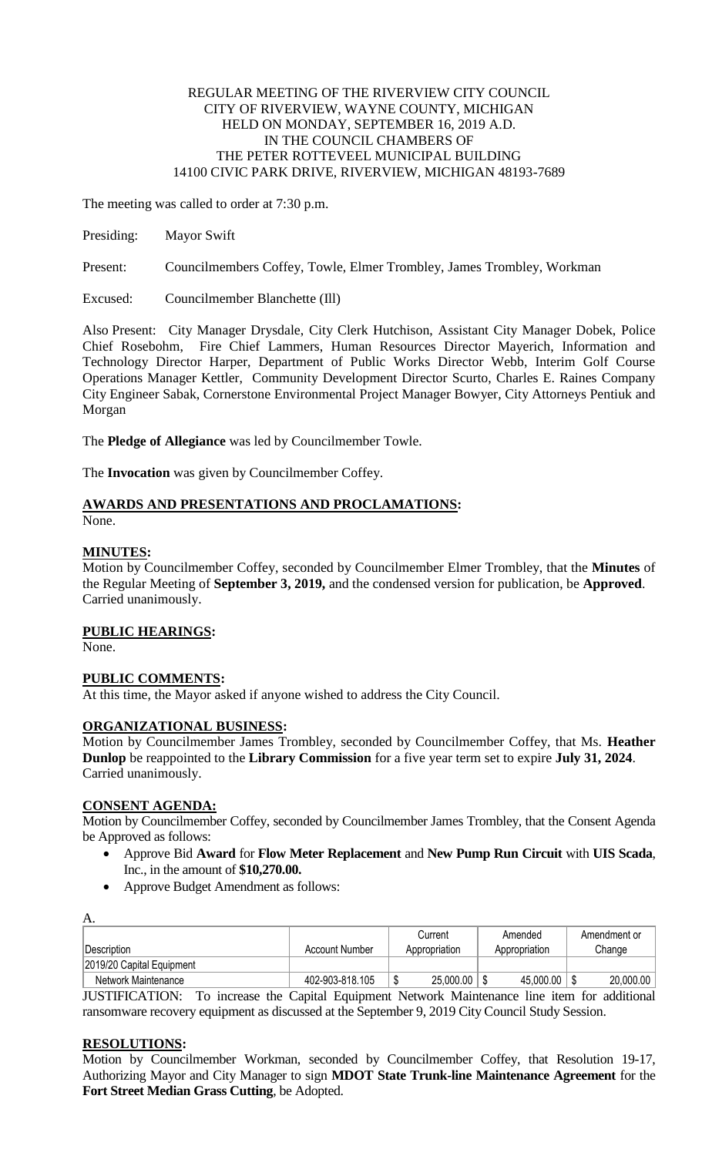## REGULAR MEETING OF THE RIVERVIEW CITY COUNCIL CITY OF RIVERVIEW, WAYNE COUNTY, MICHIGAN HELD ON MONDAY, SEPTEMBER 16, 2019 A.D. IN THE COUNCIL CHAMBERS OF THE PETER ROTTEVEEL MUNICIPAL BUILDING 14100 CIVIC PARK DRIVE, RIVERVIEW, MICHIGAN 48193-7689

The meeting was called to order at 7:30 p.m.

Presiding: Mayor Swift

Present: Councilmembers Coffey, Towle, Elmer Trombley, James Trombley, Workman

Excused: Councilmember Blanchette (Ill)

Also Present: City Manager Drysdale, City Clerk Hutchison, Assistant City Manager Dobek, Police Chief Rosebohm, Fire Chief Lammers, Human Resources Director Mayerich, Information and Technology Director Harper, Department of Public Works Director Webb, Interim Golf Course Operations Manager Kettler, Community Development Director Scurto, Charles E. Raines Company City Engineer Sabak, Cornerstone Environmental Project Manager Bowyer, City Attorneys Pentiuk and Morgan

The **Pledge of Allegiance** was led by Councilmember Towle.

The **Invocation** was given by Councilmember Coffey.

# **AWARDS AND PRESENTATIONS AND PROCLAMATIONS:**

None.

# **MINUTES:**

Motion by Councilmember Coffey, seconded by Councilmember Elmer Trombley, that the **Minutes** of the Regular Meeting of **September 3, 2019,** and the condensed version for publication, be **Approved**. Carried unanimously.

# **PUBLIC HEARINGS:**

None.

# **PUBLIC COMMENTS:**

At this time, the Mayor asked if anyone wished to address the City Council.

# **ORGANIZATIONAL BUSINESS:**

Motion by Councilmember James Trombley, seconded by Councilmember Coffey, that Ms. **Heather Dunlop** be reappointed to the **Library Commission** for a five year term set to expire **July 31, 2024**. Carried unanimously.

#### **CONSENT AGENDA:**

Motion by Councilmember Coffey, seconded by Councilmember James Trombley, that the Consent Agenda be Approved as follows:

- Approve Bid **Award** for **Flow Meter Replacement** and **New Pump Run Circuit** with **UIS Scada**, Inc., in the amount of **\$10,270.00.**
- Approve Budget Amendment as follows:

| А.                        |                       |               |               |              |
|---------------------------|-----------------------|---------------|---------------|--------------|
|                           |                       | Current       | Amended       | Amendment or |
| <i><b>Description</b></i> | <b>Account Number</b> | Appropriation | Appropriation | Change       |
| 2019/20 Capital Equipment |                       |               |               |              |
| Network Maintenance       | 402-903-818.105       | 25,000.00     | 45,000.00     | 20,000.00    |

JUSTIFICATION: To increase the Capital Equipment Network Maintenance line item for additional ransomware recovery equipment as discussed at the September 9, 2019 City Council Study Session.

# **RESOLUTIONS:**

Motion by Councilmember Workman, seconded by Councilmember Coffey, that Resolution 19-17, Authorizing Mayor and City Manager to sign **MDOT State Trunk-line Maintenance Agreement** for the **Fort Street Median Grass Cutting**, be Adopted.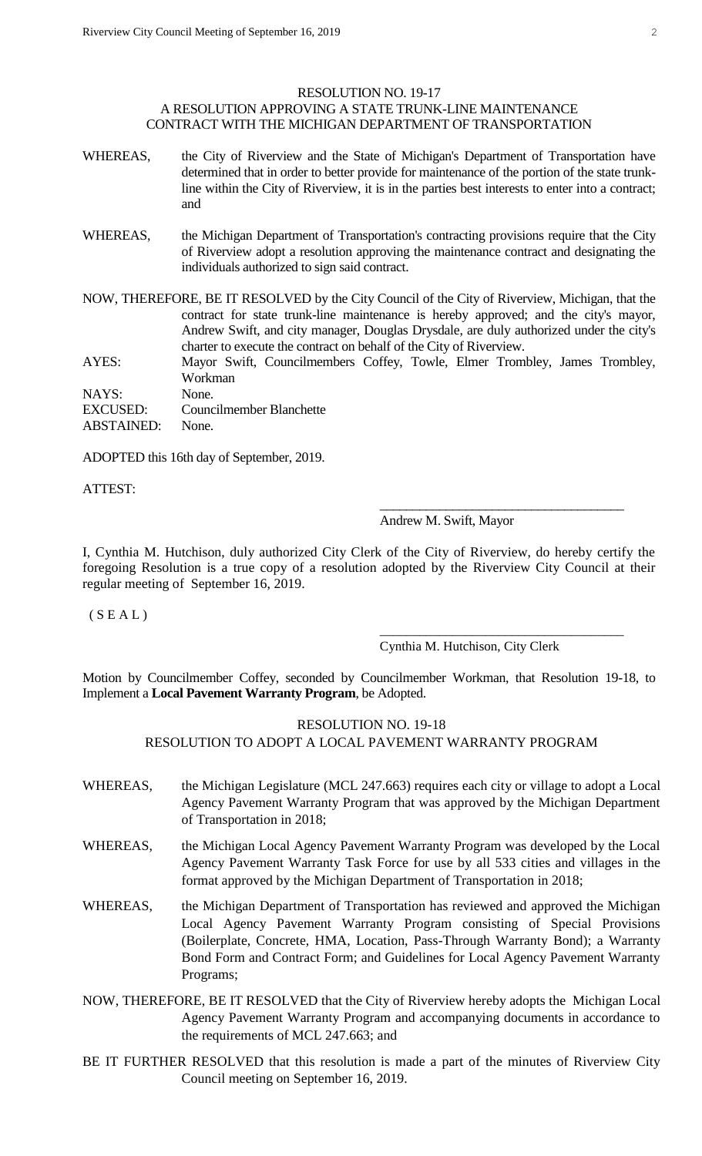# RESOLUTION NO. 19-17

# A RESOLUTION APPROVING A STATE TRUNK-LINE MAINTENANCE CONTRACT WITH THE MICHIGAN DEPARTMENT OF TRANSPORTATION

- WHEREAS, the City of Riverview and the State of Michigan's Department of Transportation have determined that in order to better provide for maintenance of the portion of the state trunkline within the City of Riverview, it is in the parties best interests to enter into a contract; and
- WHEREAS, the Michigan Department of Transportation's contracting provisions require that the City of Riverview adopt a resolution approving the maintenance contract and designating the individuals authorized to sign said contract.

NOW, THEREFORE, BE IT RESOLVED by the City Council of the City of Riverview, Michigan, that the contract for state trunk-line maintenance is hereby approved; and the city's mayor, Andrew Swift, and city manager, Douglas Drysdale, are duly authorized under the city's charter to execute the contract on behalf of the City of Riverview.

AYES: Mayor Swift, Councilmembers Coffey, Towle, Elmer Trombley, James Trombley, Workman

NAYS: None. EXCUSED: Councilmember Blanchette ABSTAINED: None.

ADOPTED this 16th day of September, 2019.

ATTEST:

### Andrew M. Swift, Mayor

\_\_\_\_\_\_\_\_\_\_\_\_\_\_\_\_\_\_\_\_\_\_\_\_\_\_\_\_\_\_\_\_\_\_\_\_\_

\_\_\_\_\_\_\_\_\_\_\_\_\_\_\_\_\_\_\_\_\_\_\_\_\_\_\_\_\_\_\_\_\_\_\_\_\_

I, Cynthia M. Hutchison, duly authorized City Clerk of the City of Riverview, do hereby certify the foregoing Resolution is a true copy of a resolution adopted by the Riverview City Council at their regular meeting of September 16, 2019.

 $(S E A L)$ 

Cynthia M. Hutchison, City Clerk

Motion by Councilmember Coffey, seconded by Councilmember Workman, that Resolution 19-18, to Implement a **Local Pavement Warranty Program**, be Adopted.

RESOLUTION NO. 19-18

# RESOLUTION TO ADOPT A LOCAL PAVEMENT WARRANTY PROGRAM

- WHEREAS, the Michigan Legislature (MCL 247.663) requires each city or village to adopt a Local Agency Pavement Warranty Program that was approved by the Michigan Department of Transportation in 2018;
- WHEREAS, the Michigan Local Agency Pavement Warranty Program was developed by the Local Agency Pavement Warranty Task Force for use by all 533 cities and villages in the format approved by the Michigan Department of Transportation in 2018;
- WHEREAS, the Michigan Department of Transportation has reviewed and approved the Michigan Local Agency Pavement Warranty Program consisting of Special Provisions (Boilerplate, Concrete, HMA, Location, Pass-Through Warranty Bond); a Warranty Bond Form and Contract Form; and Guidelines for Local Agency Pavement Warranty Programs;
- NOW, THEREFORE, BE IT RESOLVED that the City of Riverview hereby adopts the Michigan Local Agency Pavement Warranty Program and accompanying documents in accordance to the requirements of MCL 247.663; and
- BE IT FURTHER RESOLVED that this resolution is made a part of the minutes of Riverview City Council meeting on September 16, 2019.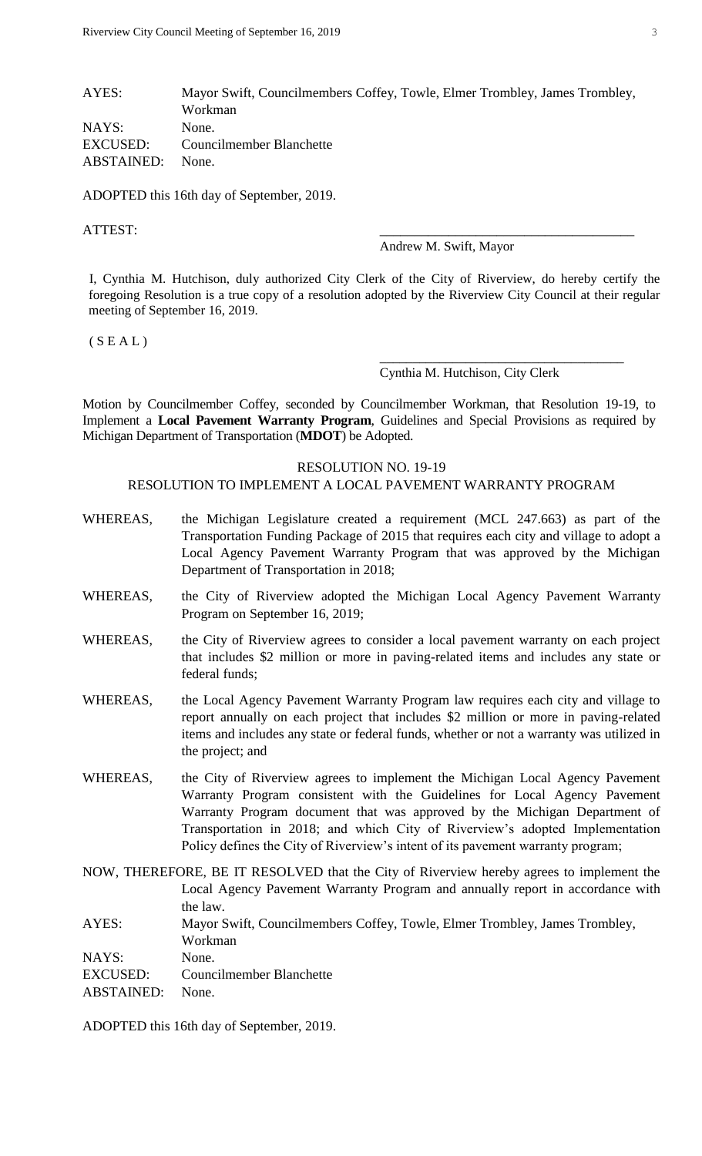# AYES: Mayor Swift, Councilmembers Coffey, Towle, Elmer Trombley, James Trombley, Workman NAYS: None. EXCUSED: Councilmember Blanchette ABSTAINED: None.

ADOPTED this 16th day of September, 2019.

ATTEST:

Andrew M. Swift, Mayor

I, Cynthia M. Hutchison, duly authorized City Clerk of the City of Riverview, do hereby certify the foregoing Resolution is a true copy of a resolution adopted by the Riverview City Council at their regular meeting of September 16, 2019.

 $(S E A L)$ 

#### Cynthia M. Hutchison, City Clerk

\_\_\_\_\_\_\_\_\_\_\_\_\_\_\_\_\_\_\_\_\_\_\_\_\_\_\_\_\_\_\_\_\_\_\_\_\_

Motion by Councilmember Coffey, seconded by Councilmember Workman, that Resolution 19-19, to Implement a **Local Pavement Warranty Program**, Guidelines and Special Provisions as required by Michigan Department of Transportation (**MDOT**) be Adopted.

#### RESOLUTION NO. 19-19

RESOLUTION TO IMPLEMENT A LOCAL PAVEMENT WARRANTY PROGRAM

- WHEREAS, the Michigan Legislature created a requirement (MCL 247.663) as part of the Transportation Funding Package of 2015 that requires each city and village to adopt a Local Agency Pavement Warranty Program that was approved by the Michigan Department of Transportation in 2018;
- WHEREAS, the City of Riverview adopted the Michigan Local Agency Pavement Warranty Program on September 16, 2019;
- WHEREAS, the City of Riverview agrees to consider a local pavement warranty on each project that includes \$2 million or more in paving-related items and includes any state or federal funds;
- WHEREAS, the Local Agency Pavement Warranty Program law requires each city and village to report annually on each project that includes \$2 million or more in paving-related items and includes any state or federal funds, whether or not a warranty was utilized in the project; and
- WHEREAS, the City of Riverview agrees to implement the Michigan Local Agency Pavement Warranty Program consistent with the Guidelines for Local Agency Pavement Warranty Program document that was approved by the Michigan Department of Transportation in 2018; and which City of Riverview's adopted Implementation Policy defines the City of Riverview's intent of its pavement warranty program;
- NOW, THEREFORE, BE IT RESOLVED that the City of Riverview hereby agrees to implement the Local Agency Pavement Warranty Program and annually report in accordance with the law. AYES: Mayor Swift, Councilmembers Coffey, Towle, Elmer Trombley, James Trombley, Workman NAYS: None.

EXCUSED: Councilmember Blanchette

ABSTAINED: None.

ADOPTED this 16th day of September, 2019.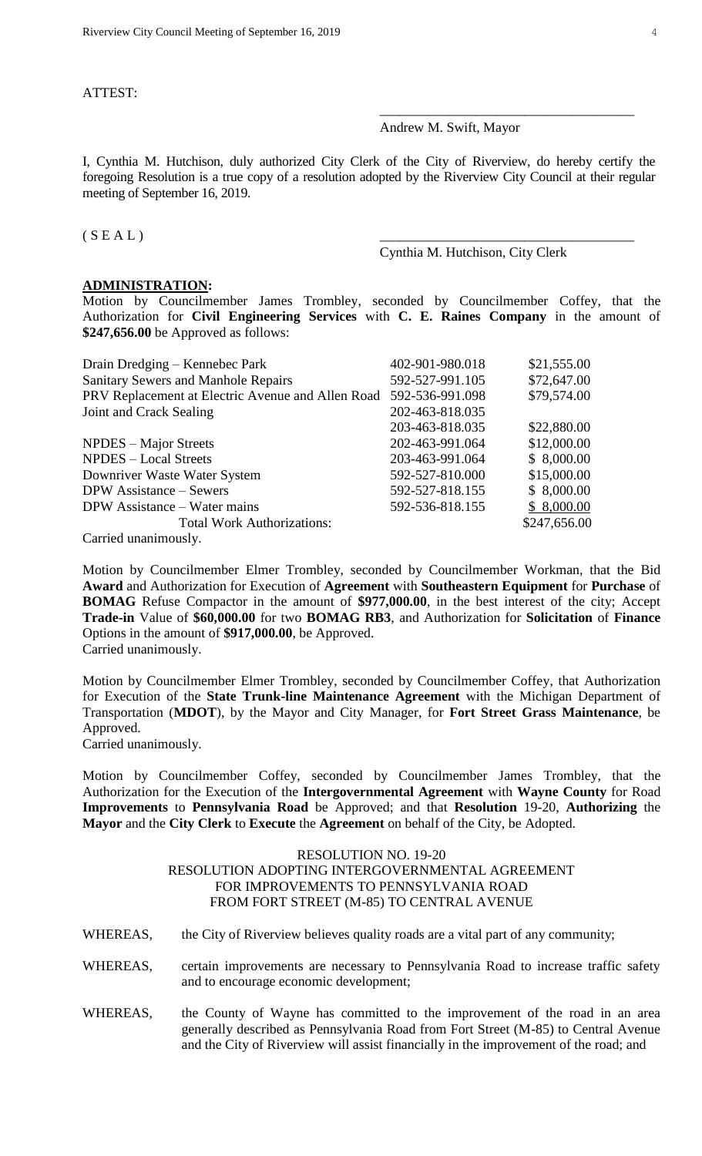ATTEST:

Andrew M. Swift, Mayor

I, Cynthia M. Hutchison, duly authorized City Clerk of the City of Riverview, do hereby certify the foregoing Resolution is a true copy of a resolution adopted by the Riverview City Council at their regular meeting of September 16, 2019.

 $(S E A L)$ 

Cynthia M. Hutchison, City Clerk

\_\_\_\_\_\_\_\_\_\_\_\_\_\_\_\_\_\_\_\_\_\_\_\_\_\_\_\_\_\_\_\_\_\_\_\_\_

#### **ADMINISTRATION:**

Motion by Councilmember James Trombley, seconded by Councilmember Coffey, that the Authorization for **Civil Engineering Services** with **C. E. Raines Company** in the amount of **\$247,656.00** be Approved as follows:

| Drain Dredging – Kennebec Park                    | 402-901-980.018 | \$21,555.00  |
|---------------------------------------------------|-----------------|--------------|
| <b>Sanitary Sewers and Manhole Repairs</b>        | 592-527-991.105 | \$72,647.00  |
| PRV Replacement at Electric Avenue and Allen Road | 592-536-991.098 | \$79,574.00  |
| Joint and Crack Sealing                           | 202-463-818.035 |              |
|                                                   | 203-463-818.035 | \$22,880.00  |
| NPDES – Major Streets                             | 202-463-991.064 | \$12,000.00  |
| <b>NPDES</b> – Local Streets                      | 203-463-991.064 | \$8,000.00   |
| Downriver Waste Water System                      | 592-527-810.000 | \$15,000.00  |
| <b>DPW</b> Assistance – Sewers                    | 592-527-818.155 | \$8,000.00   |
| DPW Assistance – Water mains                      | 592-536-818.155 | \$8,000.00   |
| <b>Total Work Authorizations:</b>                 |                 | \$247,656.00 |
| Carried unanimously.                              |                 |              |

Motion by Councilmember Elmer Trombley, seconded by Councilmember Workman, that the Bid **Award** and Authorization for Execution of **Agreement** with **Southeastern Equipment** for **Purchase** of **BOMAG** Refuse Compactor in the amount of **\$977,000.00**, in the best interest of the city; Accept **Trade-in** Value of **\$60,000.00** for two **BOMAG RB3**, and Authorization for **Solicitation** of **Finance** Options in the amount of **\$917,000.00**, be Approved. Carried unanimously.

Motion by Councilmember Elmer Trombley, seconded by Councilmember Coffey, that Authorization for Execution of the **State Trunk-line Maintenance Agreement** with the Michigan Department of Transportation (**MDOT**), by the Mayor and City Manager, for **Fort Street Grass Maintenance**, be Approved.

Carried unanimously.

Motion by Councilmember Coffey, seconded by Councilmember James Trombley, that the Authorization for the Execution of the **Intergovernmental Agreement** with **Wayne County** for Road **Improvements** to **Pennsylvania Road** be Approved; and that **Resolution** 19-20, **Authorizing** the **Mayor** and the **City Clerk** to **Execute** the **Agreement** on behalf of the City, be Adopted.

## RESOLUTION NO. 19-20 RESOLUTION ADOPTING INTERGOVERNMENTAL AGREEMENT FOR IMPROVEMENTS TO PENNSYLVANIA ROAD FROM FORT STREET (M-85) TO CENTRAL AVENUE

WHEREAS, the City of Riverview believes quality roads are a vital part of any community;

- WHEREAS, certain improvements are necessary to Pennsylvania Road to increase traffic safety and to encourage economic development;
- WHEREAS, the County of Wayne has committed to the improvement of the road in an area generally described as Pennsylvania Road from Fort Street (M-85) to Central Avenue and the City of Riverview will assist financially in the improvement of the road; and